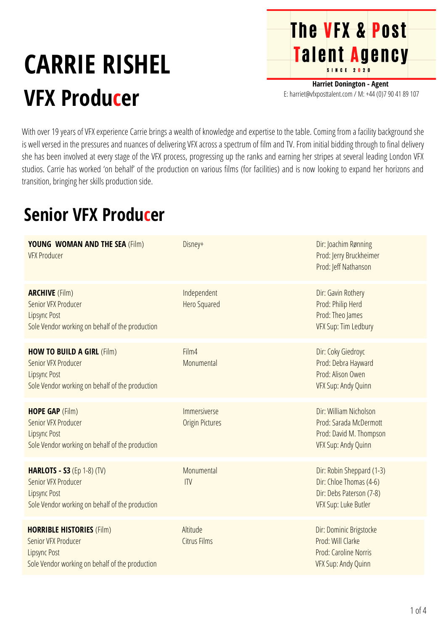## **CARRIE RISHEL VFX Producer**

**Harriet Donington - Agent** E: harriet@vfxposttalent.com / M:+44(0)7904189107

**The VFX & Post** 

Talent Agency

With over 19 years of VFX experience Carrie brings a wealth of knowledge and expertise to the table. Coming from a facility background she is well versed in the pressures and nuances of delivering VFX across a spectrum of film and TV. From initial bidding through to final delivery she has been involved at every stage of the VFX process, progressing up the ranks and earning her stripes at several leading London VFX studios. Carrie has worked 'on behalf' of the production on various films (for facilities) and is now looking to expand her horizons and transition, bringing her skills production side.

## **Senior VFX Producer**

| <b>YOUNG WOMAN AND THE SEA (Film)</b><br><b>VFX Producer</b>                                                                       | Disney+                                | Dir: Joachim Rønning<br>Prod: Jerry Bruckheimer<br>Prod: Jeff Nathanson                                  |
|------------------------------------------------------------------------------------------------------------------------------------|----------------------------------------|----------------------------------------------------------------------------------------------------------|
| <b>ARCHIVE (Film)</b><br>Senior VFX Producer<br><b>Lipsync Post</b><br>Sole Vendor working on behalf of the production             | Independent<br><b>Hero Squared</b>     | Dir: Gavin Rothery<br>Prod: Philip Herd<br>Prod: Theo James<br>VFX Sup: Tim Ledbury                      |
| <b>HOW TO BUILD A GIRL (Film)</b><br>Senior VFX Producer<br><b>Lipsync Post</b><br>Sole Vendor working on behalf of the production | Film4<br>Monumental                    | Dir: Coky Giedroyc<br>Prod: Debra Hayward<br>Prod: Alison Owen<br>VFX Sup: Andy Quinn                    |
| <b>HOPE GAP (Film)</b><br>Senior VFX Producer<br><b>Lipsync Post</b><br>Sole Vendor working on behalf of the production            | Immersiverse<br><b>Origin Pictures</b> | Dir: William Nicholson<br>Prod: Sarada McDermott<br>Prod: David M. Thompson<br>VFX Sup: Andy Quinn       |
| <b>HARLOTS - S3 (Ep 1-8) (TV)</b><br>Senior VFX Producer<br><b>Lipsync Post</b><br>Sole Vendor working on behalf of the production | Monumental<br>$\overline{IV}$          | Dir: Robin Sheppard (1-3)<br>Dir: Chloe Thomas (4-6)<br>Dir: Debs Paterson (7-8)<br>VFX Sup: Luke Butler |
| <b>HORRIBLE HISTORIES (Film)</b><br>Senior VFX Producer<br><b>Lipsync Post</b><br>Sole Vendor working on behalf of the production  | Altitude<br><b>Citrus Films</b>        | Dir: Dominic Brigstocke<br>Prod: Will Clarke<br>Prod: Caroline Norris<br>VFX Sup: Andy Quinn             |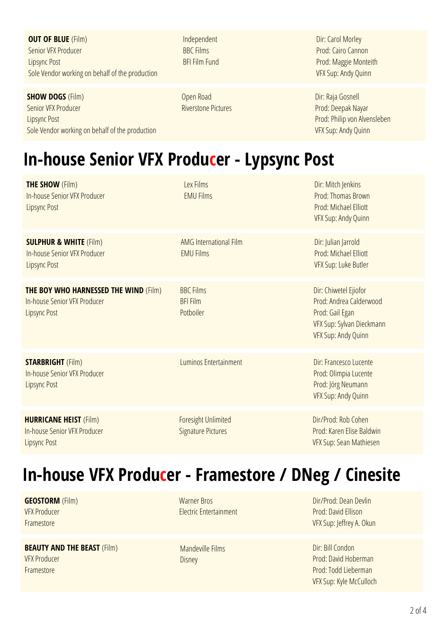**OUT OF BLUE** (Film) Senior VFX Producer Lipsync Post Sole Vendor working on behalf of the production

**SHOW DOGS** (Film) Senior VFX Producer Lipsync Post Sole Vendor working on behalf of the production Independent BBC Films BFI Film Fund

Open Road Riverstone Pictures

Dir: Carol Morley Prod: Cairo Cannon Prod: Maggie Monteith VFX Sup: Andy Quinn

Dir: Raja Gosnell Prod: Deepak Nayar Prod: Philip von Alvensleben VFX Sup: Andy Quinn

## **In-house Senior VFX Producer - Lypsync Post**

**THE SHOW** (Film) **In-house Senior VFX Producer** Lipsync Post

**SULPHUR & WHITE** (Film) In-house Senior VFX Producer Lipsync Post

**THE BOY WHO HARNESSED THE WIND** (Film) In-house Senior VFX Producer Lipsync Post

Potboiler

BBC Films BFI Film

EMU Films

Lex Films EMU Films

**STARBRIGHT** (Film) In-house Senior VFX Producer Lipsync Post

**HURRICANE HEIST** (Film) In-house Senior VFX Producer Lipsync Post

Luminos Entertainment **Dir: Francesco Lucente** 

AMG International Film

Foresight Unlimited Signature Pictures

Dir/Prod: Dean Devlin Prod: David Ellison VFX Sup: Jeffrey A. Okun

Dir: Chiwetel Ejiofor Prod:Andrea Calderwood

Dir: Julian Jarrold Prod: Michael Elliott **VFX Sup: Luke Butler** 

Dir: Mitch Jenkins Prod: Thomas Brown Prod: Michael Flliott VFX Sup: Andy Quinn

VFX Sup: Sylvan Dieckmann VFX Sup: Andy Quinn

Prod: Olimpia Lucente Prod: Jörg Neumann VFX Sup: Andy Quinn

Dir/Prod: Rob Cohen Prod: Karen Elise Baldwin VFX Sup: Sean Mathiesen

Prod: Gail Egan

Dir: Bill Condon Prod: David Hoberman Prod: Todd Lieberman VFX Sup: Kyle McCulloch

**In-house VFX Producer - Framestore / DNeg / Cinesite**

**GEOSTORM** (Film) VFX Producer Framestore

**BEAUTY AND THE BEAST** (Film) VFX Producer Framestore

Warner Bros **Electric Entertainment** 

Mandeville Films Disney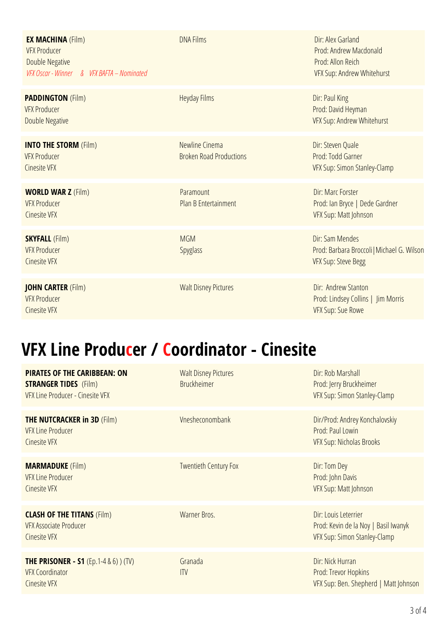| <b>EX MACHINA (Film)</b><br><b>VFX Producer</b><br><b>Double Negative</b><br>VFX Oscar - Winner & VFX BAFTA - Nominated | <b>DNA Films</b>                                 | Dir: Alex Garland<br>Prod: Andrew Macdonald<br>Prod: Allon Reich<br>VFX Sup: Andrew Whitehurst |
|-------------------------------------------------------------------------------------------------------------------------|--------------------------------------------------|------------------------------------------------------------------------------------------------|
| <b>PADDINGTON (Film)</b><br><b>VFX Producer</b><br>Double Negative                                                      | <b>Heyday Films</b>                              | Dir: Paul King<br>Prod: David Heyman<br>VFX Sup: Andrew Whitehurst                             |
| <b>INTO THE STORM (Film)</b><br><b>VFX Producer</b><br><b>Cinesite VFX</b>                                              | Newline Cinema<br><b>Broken Road Productions</b> | Dir: Steven Quale<br>Prod: Todd Garner<br>VFX Sup: Simon Stanley-Clamp                         |
| <b>WORLD WAR Z (Film)</b><br><b>VFX Producer</b><br><b>Cinesite VFX</b>                                                 | Paramount<br>Plan B Entertainment                | Dir: Marc Forster<br>Prod: Ian Bryce   Dede Gardner<br>VFX Sup: Matt Johnson                   |
| <b>SKYFALL (Film)</b><br><b>VFX Producer</b><br><b>Cinesite VFX</b>                                                     | <b>MGM</b><br><b>Spyglass</b>                    | Dir: Sam Mendes<br>Prod: Barbara Broccoli   Michael G. Wilson<br>VFX Sup: Steve Begg           |
| <b>JOHN CARTER (Film)</b><br><b>VFX Producer</b><br><b>Cinesite VFX</b>                                                 | <b>Walt Disney Pictures</b>                      | Dir: Andrew Stanton<br>Prod: Lindsey Collins   Jim Morris<br>VFX Sup: Sue Rowe                 |

## **VFX Line Producer / Coordinator - Cinesite**

| <b>PIRATES OF THE CARIBBEAN: ON</b><br><b>STRANGER TIDES</b> (Film)<br>VFX Line Producer - Cinesite VFX | <b>Walt Disney Pictures</b><br><b>Bruckheimer</b> | Dir: Rob Marshall<br>Prod: Jerry Bruckheimer<br>VFX Sup: Simon Stanley-Clamp                 |
|---------------------------------------------------------------------------------------------------------|---------------------------------------------------|----------------------------------------------------------------------------------------------|
| <b>THE NUTCRACKER in 3D (Film)</b><br><b>VFX Line Producer</b><br><b>Cinesite VFX</b>                   | Vnesheconombank                                   | Dir/Prod: Andrey Konchalovskiy<br>Prod: Paul Lowin<br>VFX Sup: Nicholas Brooks               |
| <b>MARMADUKE</b> (Film)<br><b>VFX Line Producer</b><br><b>Cinesite VFX</b>                              | <b>Twentieth Century Fox</b>                      | Dir: Tom Dey<br>Prod: John Davis<br>VFX Sup: Matt Johnson                                    |
| <b>CLASH OF THE TITANS (Film)</b><br><b>VFX Associate Producer</b><br><b>Cinesite VFX</b>               | Warner Bros.                                      | Dir: Louis Leterrier<br>Prod: Kevin de la Noy   Basil Iwanyk<br>VFX Sup: Simon Stanley-Clamp |
| <b>THE PRISONER - S1</b> (Ep.1-4 & 6)) (TV)<br><b>VFX Coordinator</b><br><b>Cinesite VFX</b>            | Granada<br>ITV                                    | Dir: Nick Hurran<br>Prod: Trevor Hopkins<br>VFX Sup: Ben. Shepherd   Matt Johnson            |